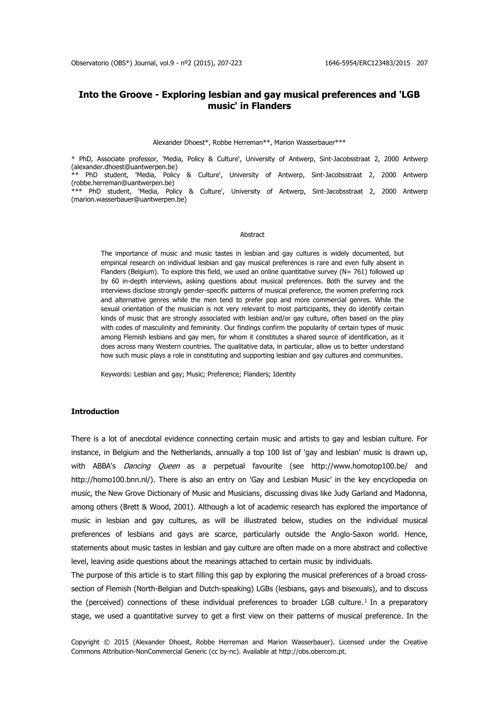# **Into the Groove - Exploring lesbian and gay musical preferences and 'LGB music' in Flanders**

#### Alexander Dhoest\*, Robbe Herreman\*\*, Marion Wasserbauer\*\*\*

\* PhD, Associate professor, 'Media, Policy & Culture', University of Antwerp, Sint-Jacobsstraat 2, 2000 Antwerp (alexander.dhoest@uantwerpen.be) \*\* PhD student, 'Media, Policy & Culture', University of Antwerp, Sint-Jacobsstraat 2, 2000 Antwerp (robbe.herreman@uantwerpen.be) \*\*\* PhD student, 'Media, Policy & Culture', University of Antwerp, Sint-Jacobsstraat 2, 2000 Antwerp (marion.wasserbauer@uantwerpen.be)

#### Abstract

The importance of music and music tastes in lesbian and gay cultures is widely documented, but empirical research on individual lesbian and gay musical preferences is rare and even fully absent in Flanders (Belgium). To explore this field, we used an online quantitative survey (N= 761) followed up by 60 in-depth interviews, asking questions about musical preferences. Both the survey and the interviews disclose strongly gender-specific patterns of musical preference, the women preferring rock and alternative genres while the men tend to prefer pop and more commercial genres. While the sexual orientation of the musician is not very relevant to most participants, they do identify certain kinds of music that are strongly associated with lesbian and/or gay culture, often based on the play with codes of masculinity and femininity. Our findings confirm the popularity of certain types of music among Flemish lesbians and gay men, for whom it constitutes a shared source of identification, as it does across many Western countries. The qualitative data, in particular, allow us to better understand how such music plays a role in constituting and supporting lesbian and gay cultures and communities.

Keywords: Lesbian and gay; Music; Preference; Flanders; Identity

### **Introduction**

There is a lot of anecdotal evidence connecting certain music and artists to gay and lesbian culture. For instance, in Belgium and the Netherlands, annually a top 100 list of 'gay and lesbian' music is drawn up, with ABBA's *Dancing Queen* as a perpetual favourite (see <http://www.homotop100.be/> and [http://homo100.bnn.nl/\)](http://homo100.bnn.nl/). There is also an entry on 'Gay and Lesbian Music' in the key encyclopedia on music, the New Grove Dictionary of Music and Musicians, discussing divas like Judy Garland and Madonna, among others (Brett & Wood, 2001). Although a lot of academic research has explored the importance of music in lesbian and gay cultures, as will be illustrated below, studies on the individual musical preferences of lesbians and gays are scarce, particularly outside the Anglo-Saxon world. Hence, statements about music tastes in lesbian and gay culture are often made on a more abstract and collective level, leaving aside questions about the meanings attached to certain music by individuals.

The purpose of this article is to start filling this gap by exploring the musical preferences of a broad crosssection of Flemish (North-Belgian and Dutch-speaking) LGBs (lesbians, gays and bisexuals), and to discuss the (perceived) connections of these individual preferences to broader LGB culture.<sup>1</sup> In a preparatory stage, we used a quantitative survey to get a first view on their patterns of musical preference. In the

Copyright © 2015 (Alexander Dhoest, Robbe Herreman and Marion Wasserbauer). Licensed under the Creative Commons Attribution-NonCommercial Generic (cc by-nc). Available at http://obs.obercom.pt.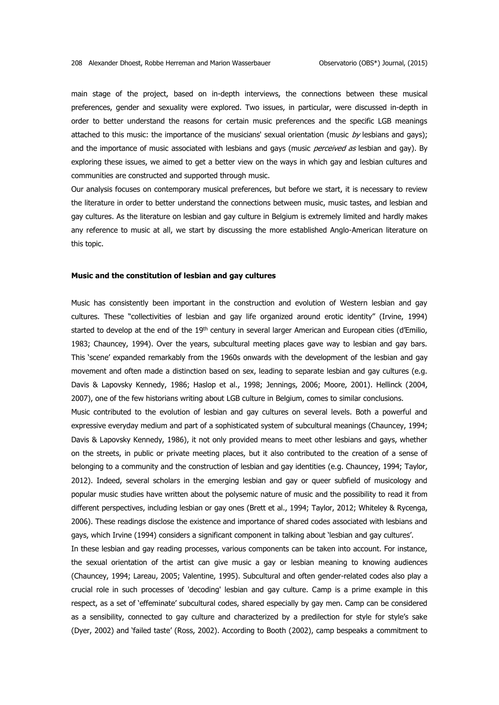main stage of the project, based on in-depth interviews, the connections between these musical preferences, gender and sexuality were explored. Two issues, in particular, were discussed in-depth in order to better understand the reasons for certain music preferences and the specific LGB meanings attached to this music: the importance of the musicians' sexual orientation (music by lesbians and gays); and the importance of music associated with lesbians and gays (music perceived as lesbian and gay). By exploring these issues, we aimed to get a better view on the ways in which gay and lesbian cultures and communities are constructed and supported through music.

Our analysis focuses on contemporary musical preferences, but before we start, it is necessary to review the literature in order to better understand the connections between music, music tastes, and lesbian and gay cultures. As the literature on lesbian and gay culture in Belgium is extremely limited and hardly makes any reference to music at all, we start by discussing the more established Anglo-American literature on this topic.

### **Music and the constitution of lesbian and gay cultures**

Music has consistently been important in the construction and evolution of Western lesbian and gay cultures. These "collectivities of lesbian and gay life organized around erotic identity" (Irvine, 1994) started to develop at the end of the 19<sup>th</sup> century in several larger American and European cities (d'Emilio, 1983; Chauncey, 1994). Over the years, subcultural meeting places gave way to lesbian and gay bars. This 'scene' expanded remarkably from the 1960s onwards with the development of the lesbian and gay movement and often made a distinction based on sex, leading to separate lesbian and gay cultures (e.g. Davis & Lapovsky Kennedy, 1986; Haslop et al., 1998; Jennings, 2006; Moore, 2001). Hellinck (2004, 2007), one of the few historians writing about LGB culture in Belgium, comes to similar conclusions.

Music contributed to the evolution of lesbian and gay cultures on several levels. Both a powerful and expressive everyday medium and part of a sophisticated system of subcultural meanings (Chauncey, 1994; Davis & Lapovsky Kennedy, 1986), it not only provided means to meet other lesbians and gays, whether on the streets, in public or private meeting places, but it also contributed to the creation of a sense of belonging to a community and the construction of lesbian and gay identities (e.g. Chauncey, 1994; Taylor, 2012). Indeed, several scholars in the emerging lesbian and gay or queer subfield of musicology and popular music studies have written about the polysemic nature of music and the possibility to read it from different perspectives, including lesbian or gay ones (Brett et al., 1994; Taylor, 2012; Whiteley & Rycenga, 2006). These readings disclose the existence and importance of shared codes associated with lesbians and gays, which Irvine (1994) considers a significant component in talking about 'lesbian and gay cultures'.

In these lesbian and gay reading processes, various components can be taken into account. For instance, the sexual orientation of the artist can give music a gay or lesbian meaning to knowing audiences (Chauncey, 1994; Lareau, 2005; Valentine, 1995). Subcultural and often gender-related codes also play a crucial role in such processes of 'decoding' lesbian and gay culture. Camp is a prime example in this respect, as a set of 'effeminate' subcultural codes, shared especially by gay men. Camp can be considered as a sensibility, connected to gay culture and characterized by a predilection for style for style's sake (Dyer, 2002) and 'failed taste' (Ross, 2002). According to Booth (2002), camp bespeaks a commitment to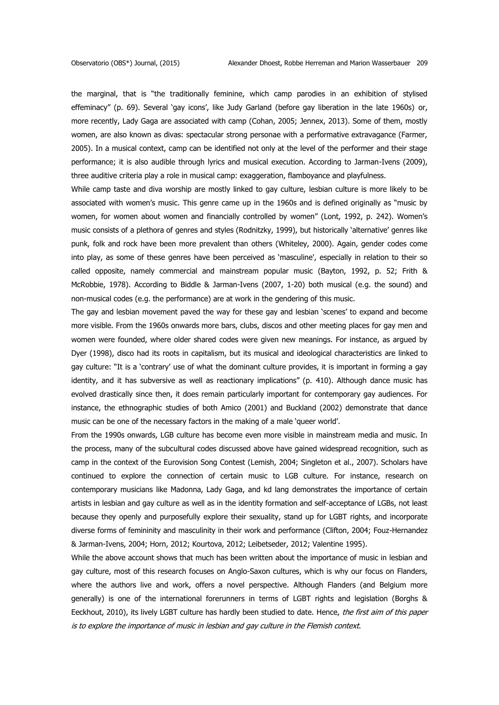the marginal, that is "the traditionally feminine, which camp parodies in an exhibition of stylised effeminacy" (p. 69). Several 'gay icons', like Judy Garland (before gay liberation in the late 1960s) or, more recently, Lady Gaga are associated with camp (Cohan, 2005; Jennex, 2013). Some of them, mostly women, are also known as divas: spectacular strong personae with a performative extravagance (Farmer, 2005). In a musical context, camp can be identified not only at the level of the performer and their stage performance; it is also audible through lyrics and musical execution. According to Jarman-Ivens (2009), three auditive criteria play a role in musical camp: exaggeration, flamboyance and playfulness.

While camp taste and diva worship are mostly linked to gay culture, lesbian culture is more likely to be associated with women's music. This genre came up in the 1960s and is defined originally as "music by women, for women about women and financially controlled by women" (Lont, 1992, p. 242). Women's music consists of a plethora of genres and styles (Rodnitzky, 1999), but historically 'alternative' genres like punk, folk and rock have been more prevalent than others (Whiteley, 2000). Again, gender codes come into play, as some of these genres have been perceived as 'masculine', especially in relation to their so called opposite, namely commercial and mainstream popular music (Bayton, 1992, p. 52; Frith & McRobbie, 1978). According to Biddle & Jarman-Ivens (2007, 1-20) both musical (e.g. the sound) and non-musical codes (e.g. the performance) are at work in the gendering of this music.

The gay and lesbian movement paved the way for these gay and lesbian 'scenes' to expand and become more visible. From the 1960s onwards more bars, clubs, discos and other meeting places for gay men and women were founded, where older shared codes were given new meanings. For instance, as argued by Dyer (1998), disco had its roots in capitalism, but its musical and ideological characteristics are linked to gay culture: "It is a 'contrary' use of what the dominant culture provides, it is important in forming a gay identity, and it has subversive as well as reactionary implications" (p. 410). Although dance music has evolved drastically since then, it does remain particularly important for contemporary gay audiences. For instance, the ethnographic studies of both Amico (2001) and Buckland (2002) demonstrate that dance music can be one of the necessary factors in the making of a male 'queer world'.

From the 1990s onwards, LGB culture has become even more visible in mainstream media and music. In the process, many of the subcultural codes discussed above have gained widespread recognition, such as camp in the context of the Eurovision Song Contest (Lemish, 2004; Singleton et al., 2007). Scholars have continued to explore the connection of certain music to LGB culture. For instance, research on contemporary musicians like Madonna, Lady Gaga, and kd lang demonstrates the importance of certain artists in lesbian and gay culture as well as in the identity formation and self-acceptance of LGBs, not least because they openly and purposefully explore their sexuality, stand up for LGBT rights, and incorporate diverse forms of femininity and masculinity in their work and performance (Clifton, 2004; Fouz-Hernandez & Jarman-Ivens, 2004; Horn, 2012; Kourtova, 2012; Leibetseder, 2012; Valentine 1995).

While the above account shows that much has been written about the importance of music in lesbian and gay culture, most of this research focuses on Anglo-Saxon cultures, which is why our focus on Flanders, where the authors live and work, offers a novel perspective. Although Flanders (and Belgium more generally) is one of the international forerunners in terms of LGBT rights and legislation (Borghs & Eeckhout, 2010), its lively LGBT culture has hardly been studied to date. Hence, the first aim of this paper is to explore the importance of music in lesbian and gay culture in the Flemish context.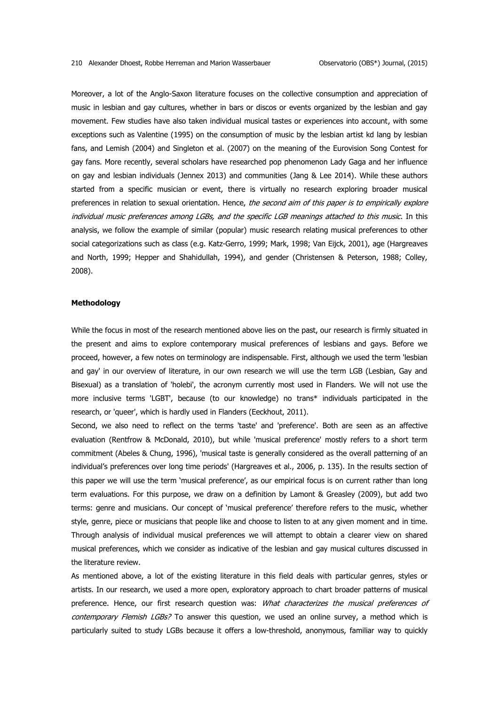Moreover, a lot of the Anglo-Saxon literature focuses on the collective consumption and appreciation of music in lesbian and gay cultures, whether in bars or discos or events organized by the lesbian and gay movement. Few studies have also taken individual musical tastes or experiences into account, with some exceptions such as Valentine (1995) on the consumption of music by the lesbian artist kd lang by lesbian fans, and Lemish (2004) and Singleton et al. (2007) on the meaning of the Eurovision Song Contest for gay fans. More recently, several scholars have researched pop phenomenon Lady Gaga and her influence on gay and lesbian individuals (Jennex 2013) and communities (Jang & Lee 2014). While these authors started from a specific musician or event, there is virtually no research exploring broader musical preferences in relation to sexual orientation. Hence, the second aim of this paper is to empirically explore individual music preferences among LGBs, and the specific LGB meanings attached to this music. In this analysis, we follow the example of similar (popular) music research relating musical preferences to other social categorizations such as class (e.g. Katz-Gerro, 1999; Mark, 1998; Van Eijck, 2001), age (Hargreaves and North, 1999; Hepper and Shahidullah, 1994), and gender (Christensen & Peterson, 1988; Colley, 2008).

### **Methodology**

While the focus in most of the research mentioned above lies on the past, our research is firmly situated in the present and aims to explore contemporary musical preferences of lesbians and gays. Before we proceed, however, a few notes on terminology are indispensable. First, although we used the term 'lesbian and gay' in our overview of literature, in our own research we will use the term LGB (Lesbian, Gay and Bisexual) as a translation of 'holebi', the acronym currently most used in Flanders. We will not use the more inclusive terms 'LGBT', because (to our knowledge) no trans\* individuals participated in the research, or 'queer', which is hardly used in Flanders (Eeckhout, 2011).

Second, we also need to reflect on the terms 'taste' and 'preference'. Both are seen as an affective evaluation (Rentfrow & McDonald, 2010), but while 'musical preference' mostly refers to a short term commitment (Abeles & Chung, 1996), 'musical taste is generally considered as the overall patterning of an individual's preferences over long time periods' (Hargreaves et al., 2006, p. 135). In the results section of this paper we will use the term 'musical preference', as our empirical focus is on current rather than long term evaluations. For this purpose, we draw on a definition by Lamont & Greasley (2009), but add two terms: genre and musicians. Our concept of 'musical preference' therefore refers to the music, whether style, genre, piece or musicians that people like and choose to listen to at any given moment and in time. Through analysis of individual musical preferences we will attempt to obtain a clearer view on shared musical preferences, which we consider as indicative of the lesbian and gay musical cultures discussed in the literature review.

As mentioned above, a lot of the existing literature in this field deals with particular genres, styles or artists. In our research, we used a more open, exploratory approach to chart broader patterns of musical preference. Hence, our first research question was: What characterizes the musical preferences of contemporary Flemish LGBs? To answer this question, we used an online survey, a method which is particularly suited to study LGBs because it offers a low-threshold, anonymous, familiar way to quickly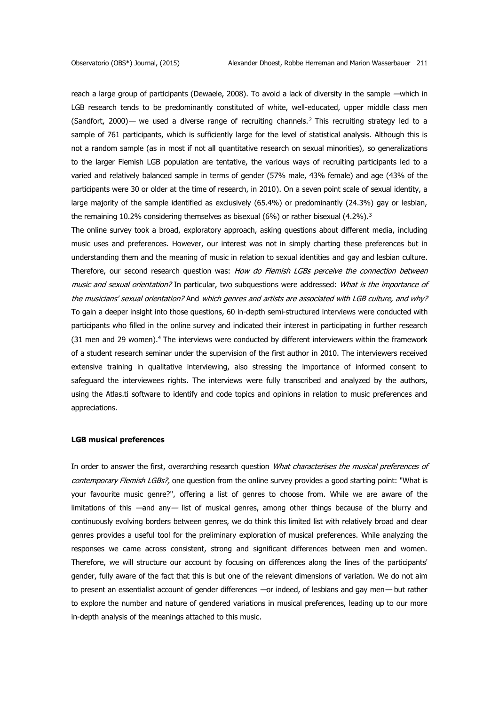reach a large group of participants (Dewaele, 2008). To avoid a lack of diversity in the sample —which in LGB research tends to be predominantly constituted of white, well-educated, upper middle class men (Sandfort, 2000)— we used a diverse range of recruiting channels.<sup>2</sup> This recruiting strategy led to a sample of 761 participants, which is sufficiently large for the level of statistical analysis. Although this is not a random sample (as in most if not all quantitative research on sexual minorities), so generalizations to the larger Flemish LGB population are tentative, the various ways of recruiting participants led to a varied and relatively balanced sample in terms of gender (57% male, 43% female) and age (43% of the participants were 30 or older at the time of research, in 2010). On a seven point scale of sexual identity, a large majority of the sample identified as exclusively (65.4%) or predominantly (24.3%) gay or lesbian, the remaining 10.2% considering themselves as bisexual (6%) or rather bisexual (4.2%).<sup>3</sup>

The online survey took a broad, exploratory approach, asking questions about different media, including music uses and preferences. However, our interest was not in simply charting these preferences but in understanding them and the meaning of music in relation to sexual identities and gay and lesbian culture. Therefore, our second research question was: How do Flemish LGBs perceive the connection between music and sexual orientation? In particular, two subquestions were addressed: What is the importance of the musicians' sexual orientation? And which genres and artists are associated with LGB culture, and why? To gain a deeper insight into those questions, 60 in-depth semi-structured interviews were conducted with participants who filled in the online survey and indicated their interest in participating in further research (31 men and 29 women).<sup>4</sup> The interviews were conducted by different interviewers within the framework of a student research seminar under the supervision of the first author in 2010. The interviewers received extensive training in qualitative interviewing, also stressing the importance of informed consent to safeguard the interviewees rights. The interviews were fully transcribed and analyzed by the authors, using the Atlas.ti software to identify and code topics and opinions in relation to music preferences and appreciations.

### **LGB musical preferences**

In order to answer the first, overarching research question What characterises the musical preferences of contemporary Flemish LGBs?, one question from the online survey provides a good starting point: "What is your favourite music genre?", offering a list of genres to choose from. While we are aware of the limitations of this —and any— list of musical genres, among other things because of the blurry and continuously evolving borders between genres, we do think this limited list with relatively broad and clear genres provides a useful tool for the preliminary exploration of musical preferences. While analyzing the responses we came across consistent, strong and significant differences between men and women. Therefore, we will structure our account by focusing on differences along the lines of the participants' gender, fully aware of the fact that this is but one of the relevant dimensions of variation. We do not aim to present an essentialist account of gender differences —or indeed, of lesbians and gay men— but rather to explore the number and nature of gendered variations in musical preferences, leading up to our more in-depth analysis of the meanings attached to this music.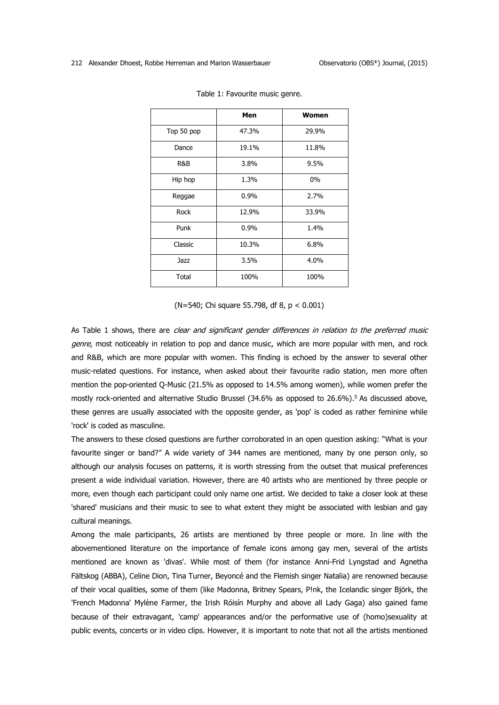|            | Men            | <b>Women</b> |  |
|------------|----------------|--------------|--|
| Top 50 pop | 47.3%<br>29.9% |              |  |
| Dance      | 19.1%<br>11.8% |              |  |
| R&B        | 3.8%           | 9.5%         |  |
| Hip hop    | 1.3%           | $0\%$        |  |
| Reggae     | $0.9\%$        | 2.7%         |  |
| Rock       | 12.9%          | 33.9%        |  |
| Punk       | 0.9%           | 1.4%         |  |
| Classic    | 10.3%          | 6.8%         |  |
| Jazz       | 3.5%           | 4.0%         |  |
| Total      | 100%           | 100%         |  |

Table 1: Favourite music genre.

(N=540; Chi square 55.798, df 8, p < 0.001)

As Table 1 shows, there are clear and significant gender differences in relation to the preferred music genre, most noticeably in relation to pop and dance music, which are more popular with men, and rock and R&B, which are more popular with women. This finding is echoed by the answer to several other music-related questions. For instance, when asked about their favourite radio station, men more often mention the pop-oriented Q-Music (21.5% as opposed to 14.5% among women), while women prefer the mostly rock-oriented and alternative Studio Brussel (34.6% as opposed to 26.6%).<sup>5</sup> As discussed above, these genres are usually associated with the opposite gender, as 'pop' is coded as rather feminine while 'rock' is coded as masculine.

The answers to these closed questions are further corroborated in an open question asking: "What is your favourite singer or band?" A wide variety of 344 names are mentioned, many by one person only, so although our analysis focuses on patterns, it is worth stressing from the outset that musical preferences present a wide individual variation. However, there are 40 artists who are mentioned by three people or more, even though each participant could only name one artist. We decided to take a closer look at these 'shared' musicians and their music to see to what extent they might be associated with lesbian and gay cultural meanings.

Among the male participants, 26 artists are mentioned by three people or more. In line with the abovementioned literature on the importance of female icons among gay men, several of the artists mentioned are known as 'divas'. While most of them (for instance Anni-Frid Lyngstad and Agnetha Fältskog (ABBA), Celine Dion, Tina Turner, Beyoncé and the Flemish singer Natalia) are renowned because of their vocal qualities, some of them (like Madonna, Britney Spears, P!nk, the Icelandic singer Björk, the 'French Madonna' Mylène Farmer, the Irish Róisín Murphy and above all Lady Gaga) also gained fame because of their extravagant, 'camp' appearances and/or the performative use of (homo)sexuality at public events, concerts or in video clips. However, it is important to note that not all the artists mentioned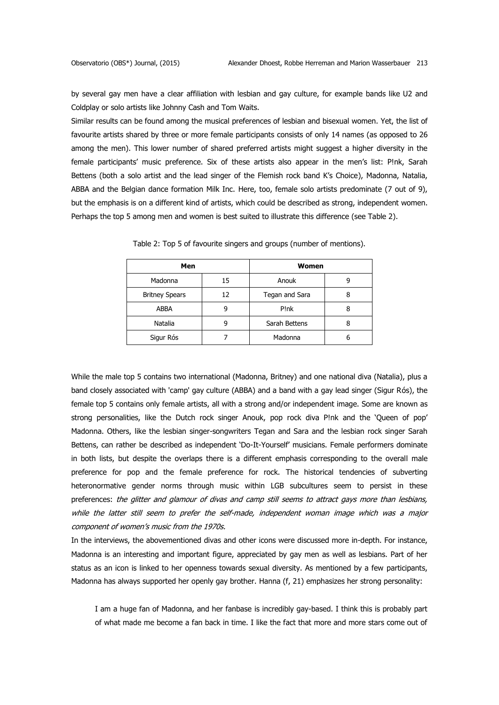by several gay men have a clear affiliation with lesbian and gay culture, for example bands like U2 and Coldplay or solo artists like Johnny Cash and Tom Waits.

Similar results can be found among the musical preferences of lesbian and bisexual women. Yet, the list of favourite artists shared by three or more female participants consists of only 14 names (as opposed to 26 among the men). This lower number of shared preferred artists might suggest a higher diversity in the female participants' music preference. Six of these artists also appear in the men's list: P!nk, Sarah Bettens (both a solo artist and the lead singer of the Flemish rock band K's Choice), Madonna, Natalia, ABBA and the Belgian dance formation Milk Inc. Here, too, female solo artists predominate (7 out of 9), but the emphasis is on a different kind of artists, which could be described as strong, independent women. Perhaps the top 5 among men and women is best suited to illustrate this difference (see Table 2).

| Men                   |    | Women          |   |
|-----------------------|----|----------------|---|
| Madonna               | 15 | Anouk          | g |
| <b>Britney Spears</b> | 12 | Tegan and Sara |   |
| <b>ABBA</b>           | g  | P!nk           | 8 |
| Natalia               | 9  | Sarah Bettens  | 8 |
| Sigur Rós             |    | Madonna        | 6 |

Table 2: Top 5 of favourite singers and groups (number of mentions).

While the male top 5 contains two international (Madonna, Britney) and one national diva (Natalia), plus a band closely associated with 'camp' gay culture (ABBA) and a band with a gay lead singer (Sigur Rós), the female top 5 contains only female artists, all with a strong and/or independent image. Some are known as strong personalities, like the Dutch rock singer Anouk, pop rock diva P!nk and the 'Queen of pop' Madonna. Others, like the lesbian singer-songwriters Tegan and Sara and the lesbian rock singer Sarah Bettens, can rather be described as independent 'Do-It-Yourself' musicians. Female performers dominate in both lists, but despite the overlaps there is a different emphasis corresponding to the overall male preference for pop and the female preference for rock. The historical tendencies of subverting heteronormative gender norms through music within LGB subcultures seem to persist in these preferences: the glitter and glamour of divas and camp still seems to attract gays more than lesbians, while the latter still seem to prefer the self-made, independent woman image which was a major component of women's music from the 1970s.

In the interviews, the abovementioned divas and other icons were discussed more in-depth. For instance, Madonna is an interesting and important figure, appreciated by gay men as well as lesbians. Part of her status as an icon is linked to her openness towards sexual diversity. As mentioned by a few participants, Madonna has always supported her openly gay brother. Hanna (f, 21) emphasizes her strong personality:

I am a huge fan of Madonna, and her fanbase is incredibly gay-based. I think this is probably part of what made me become a fan back in time. I like the fact that more and more stars come out of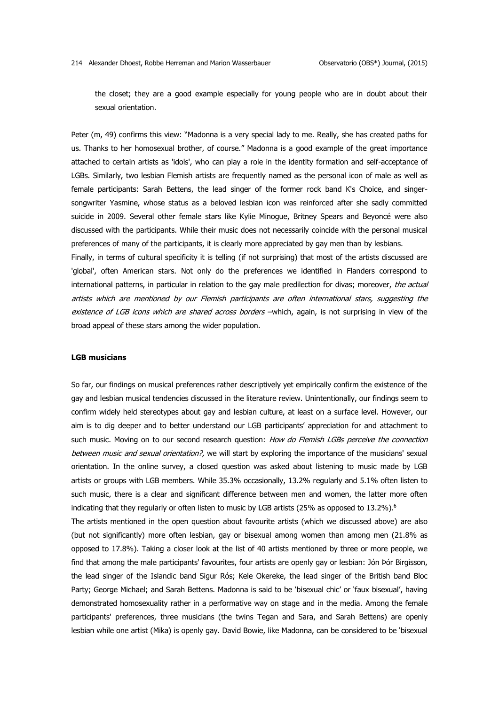the closet; they are a good example especially for young people who are in doubt about their sexual orientation.

Peter (m, 49) confirms this view: "Madonna is a very special lady to me. Really, she has created paths for us. Thanks to her homosexual brother, of course." Madonna is a good example of the great importance attached to certain artists as 'idols', who can play a role in the identity formation and self-acceptance of LGBs. Similarly, two lesbian Flemish artists are frequently named as the personal icon of male as well as female participants: Sarah Bettens, the lead singer of the former rock band K's Choice, and singersongwriter Yasmine, whose status as a beloved lesbian icon was reinforced after she sadly committed suicide in 2009. Several other female stars like Kylie Minogue, Britney Spears and Beyoncé were also discussed with the participants. While their music does not necessarily coincide with the personal musical preferences of many of the participants, it is clearly more appreciated by gay men than by lesbians.

Finally, in terms of cultural specificity it is telling (if not surprising) that most of the artists discussed are 'global', often American stars. Not only do the preferences we identified in Flanders correspond to international patterns, in particular in relation to the gay male predilection for divas; moreover, the actual artists which are mentioned by our Flemish participants are often international stars, suggesting the existence of LGB icons which are shared across borders –which, again, is not surprising in view of the broad appeal of these stars among the wider population.

### **LGB musicians**

So far, our findings on musical preferences rather descriptively yet empirically confirm the existence of the gay and lesbian musical tendencies discussed in the literature review. Unintentionally, our findings seem to confirm widely held stereotypes about gay and lesbian culture, at least on a surface level. However, our aim is to dig deeper and to better understand our LGB participants' appreciation for and attachment to such music. Moving on to our second research question: How do Flemish LGBs perceive the connection between music and sexual orientation?, we will start by exploring the importance of the musicians' sexual orientation. In the online survey, a closed question was asked about listening to music made by LGB artists or groups with LGB members. While 35.3% occasionally, 13.2% regularly and 5.1% often listen to such music, there is a clear and significant difference between men and women, the latter more often indicating that they regularly or often listen to music by LGB artists (25% as opposed to  $13.2\%$ ).<sup>6</sup>

The artists mentioned in the open question about favourite artists (which we discussed above) are also (but not significantly) more often lesbian, gay or bisexual among women than among men (21.8% as opposed to 17.8%). Taking a closer look at the list of 40 artists mentioned by three or more people, we find that among the male participants' favourites, four artists are openly gay or lesbian: Jón Þór Birgisson, the lead singer of the Islandic band Sigur Rós; Kele Okereke, the lead singer of the British band Bloc Party; George Michael; and Sarah Bettens. Madonna is said to be 'bisexual chic' or 'faux bisexual', having demonstrated homosexuality rather in a performative way on stage and in the media. Among the female participants' preferences, three musicians (the twins Tegan and Sara, and Sarah Bettens) are openly lesbian while one artist (Mika) is openly gay. David Bowie, like Madonna, can be considered to be 'bisexual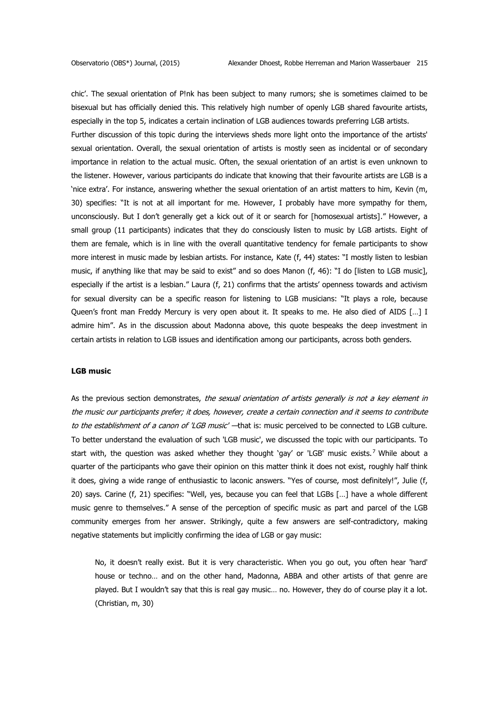chic'. The sexual orientation of P!nk has been subject to many rumors; she is sometimes claimed to be bisexual but has officially denied this. This relatively high number of openly LGB shared favourite artists, especially in the top 5, indicates a certain inclination of LGB audiences towards preferring LGB artists. Further discussion of this topic during the interviews sheds more light onto the importance of the artists' sexual orientation. Overall, the sexual orientation of artists is mostly seen as incidental or of secondary importance in relation to the actual music. Often, the sexual orientation of an artist is even unknown to the listener. However, various participants do indicate that knowing that their favourite artists are LGB is a 'nice extra'. For instance, answering whether the sexual orientation of an artist matters to him, Kevin (m, 30) specifies: "It is not at all important for me. However, I probably have more sympathy for them, unconsciously. But I don't generally get a kick out of it or search for [homosexual artists]." However, a small group (11 participants) indicates that they do consciously listen to music by LGB artists. Eight of them are female, which is in line with the overall quantitative tendency for female participants to show more interest in music made by lesbian artists. For instance, Kate (f, 44) states: "I mostly listen to lesbian music, if anything like that may be said to exist" and so does Manon (f, 46): "I do [listen to LGB music], especially if the artist is a lesbian." Laura (f, 21) confirms that the artists' openness towards and activism for sexual diversity can be a specific reason for listening to LGB musicians: "It plays a role, because Queen's front man Freddy Mercury is very open about it. It speaks to me. He also died of AIDS […] I admire him". As in the discussion about Madonna above, this quote bespeaks the deep investment in certain artists in relation to LGB issues and identification among our participants, across both genders.

## **LGB music**

As the previous section demonstrates, the sexual orientation of artists generally is not a key element in the music our participants prefer; it does, however, create a certain connection and it seems to contribute to the establishment of a canon of 'LGB music' - that is: music perceived to be connected to LGB culture. To better understand the evaluation of such 'LGB music', we discussed the topic with our participants. To start with, the question was asked whether they thought 'qay' or 'LGB' music exists.<sup>7</sup> While about a quarter of the participants who gave their opinion on this matter think it does not exist, roughly half think it does, giving a wide range of enthusiastic to laconic answers. "Yes of course, most definitely!", Julie (f, 20) says. Carine (f, 21) specifies: "Well, yes, because you can feel that LGBs […] have a whole different music genre to themselves." A sense of the perception of specific music as part and parcel of the LGB community emerges from her answer. Strikingly, quite a few answers are self-contradictory, making negative statements but implicitly confirming the idea of LGB or gay music:

No, it doesn't really exist. But it is very characteristic. When you go out, you often hear 'hard' house or techno… and on the other hand, Madonna, ABBA and other artists of that genre are played. But I wouldn't say that this is real gay music… no. However, they do of course play it a lot. (Christian, m, 30)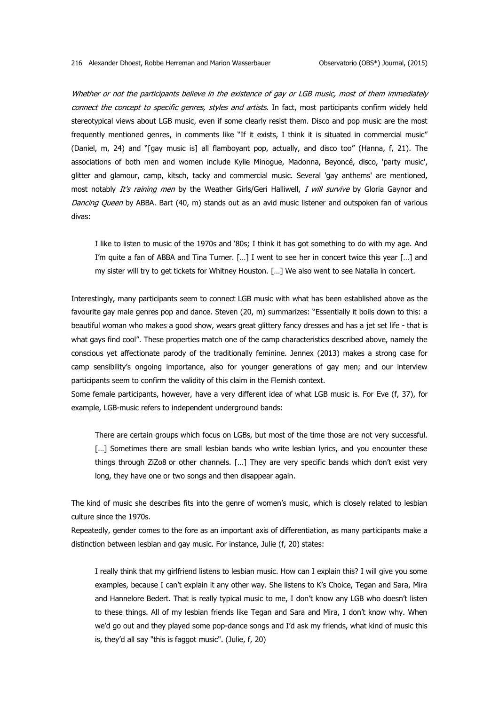Whether or not the participants believe in the existence of gay or LGB music, most of them immediately connect the concept to specific genres, styles and artists. In fact, most participants confirm widely held stereotypical views about LGB music, even if some clearly resist them. Disco and pop music are the most frequently mentioned genres, in comments like "If it exists, I think it is situated in commercial music" (Daniel, m, 24) and "[gay music is] all flamboyant pop, actually, and disco too" (Hanna, f, 21). The associations of both men and women include Kylie Minogue, Madonna, Beyoncé, disco, 'party music', glitter and glamour, camp, kitsch, tacky and commercial music. Several 'gay anthems' are mentioned, most notably It's raining men by the Weather Girls/Geri Halliwell, I will survive by Gloria Gaynor and Dancing Queen by ABBA. Bart (40, m) stands out as an avid music listener and outspoken fan of various divas:

I like to listen to music of the 1970s and '80s; I think it has got something to do with my age. And I'm quite a fan of ABBA and Tina Turner. […] I went to see her in concert twice this year […] and my sister will try to get tickets for Whitney Houston. […] We also went to see Natalia in concert.

Interestingly, many participants seem to connect LGB music with what has been established above as the favourite gay male genres pop and dance. Steven (20, m) summarizes: "Essentially it boils down to this: a beautiful woman who makes a good show, wears great glittery fancy dresses and has a jet set life - that is what gays find cool". These properties match one of the camp characteristics described above, namely the conscious yet affectionate parody of the traditionally feminine. Jennex (2013) makes a strong case for camp sensibility's ongoing importance, also for younger generations of gay men; and our interview participants seem to confirm the validity of this claim in the Flemish context.

Some female participants, however, have a very different idea of what LGB music is. For Eve (f, 37), for example, LGB-music refers to independent underground bands:

There are certain groups which focus on LGBs, but most of the time those are not very successful. [...] Sometimes there are small lesbian bands who write lesbian lyrics, and you encounter these things through ZiZo8 or other channels. […] They are very specific bands which don't exist very long, they have one or two songs and then disappear again.

The kind of music she describes fits into the genre of women's music, which is closely related to lesbian culture since the 1970s.

Repeatedly, gender comes to the fore as an important axis of differentiation, as many participants make a distinction between lesbian and gay music. For instance, Julie (f, 20) states:

I really think that my girlfriend listens to lesbian music. How can I explain this? I will give you some examples, because I can't explain it any other way. She listens to K's Choice, Tegan and Sara, Mira and Hannelore Bedert. That is really typical music to me, I don't know any LGB who doesn't listen to these things. All of my lesbian friends like Tegan and Sara and Mira, I don't know why. When we'd go out and they played some pop-dance songs and I'd ask my friends, what kind of music this is, they'd all say "this is faggot music". (Julie, f, 20)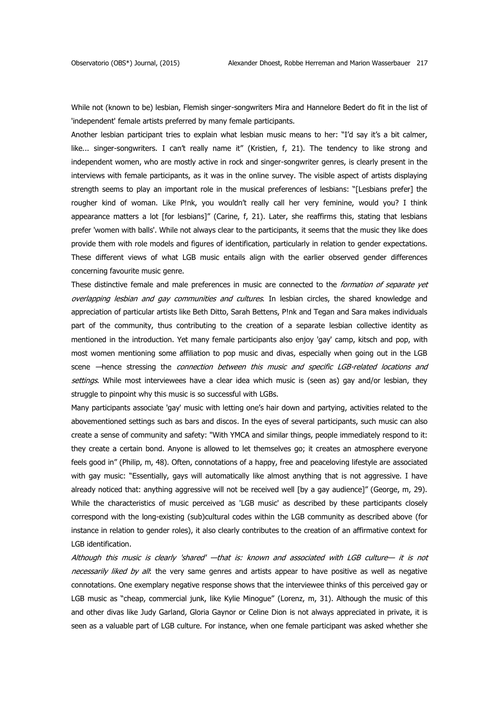While not (known to be) lesbian, Flemish singer-songwriters Mira and Hannelore Bedert do fit in the list of 'independent' female artists preferred by many female participants.

Another lesbian participant tries to explain what lesbian music means to her: "I'd say it's a bit calmer, like... singer-songwriters. I can't really name it" (Kristien, f, 21). The tendency to like strong and independent women, who are mostly active in rock and singer-songwriter genres, is clearly present in the interviews with female participants, as it was in the online survey. The visible aspect of artists displaying strength seems to play an important role in the musical preferences of lesbians: "[Lesbians prefer] the rougher kind of woman. Like P!nk, you wouldn't really call her very feminine, would you? I think appearance matters a lot [for lesbians]" (Carine, f, 21). Later, she reaffirms this, stating that lesbians prefer 'women with balls'. While not always clear to the participants, it seems that the music they like does provide them with role models and figures of identification, particularly in relation to gender expectations. These different views of what LGB music entails align with the earlier observed gender differences concerning favourite music genre.

These distinctive female and male preferences in music are connected to the *formation of separate yet* overlapping lesbian and gay communities and cultures. In lesbian circles, the shared knowledge and appreciation of particular artists like Beth Ditto, Sarah Bettens, P!nk and Tegan and Sara makes individuals part of the community, thus contributing to the creation of a separate lesbian collective identity as mentioned in the introduction. Yet many female participants also enjoy 'gay' camp, kitsch and pop, with most women mentioning some affiliation to pop music and divas, especially when going out in the LGB scene —hence stressing the *connection between this music and specific LGB-related locations and* settings. While most interviewees have a clear idea which music is (seen as) gay and/or lesbian, they struggle to pinpoint why this music is so successful with LGBs.

Many participants associate 'gay' music with letting one's hair down and partying, activities related to the abovementioned settings such as bars and discos. In the eyes of several participants, such music can also create a sense of community and safety: "With YMCA and similar things, people immediately respond to it: they create a certain bond. Anyone is allowed to let themselves go; it creates an atmosphere everyone feels good in" (Philip, m, 48). Often, connotations of a happy, free and peaceloving lifestyle are associated with gay music: "Essentially, gays will automatically like almost anything that is not aggressive. I have already noticed that: anything aggressive will not be received well [by a gay audience]" (George, m, 29). While the characteristics of music perceived as 'LGB music' as described by these participants closely correspond with the long-existing (sub)cultural codes within the LGB community as described above (for instance in relation to gender roles), it also clearly contributes to the creation of an affirmative context for LGB identification.

Although this music is clearly 'shared' —that is: known and associated with LGB culture— it is not necessarily liked by all: the very same genres and artists appear to have positive as well as negative connotations. One exemplary negative response shows that the interviewee thinks of this perceived gay or LGB music as "cheap, commercial junk, like Kylie Minogue" (Lorenz, m, 31). Although the music of this and other divas like Judy Garland, Gloria Gaynor or Celine Dion is not always appreciated in private, it is seen as a valuable part of LGB culture. For instance, when one female participant was asked whether she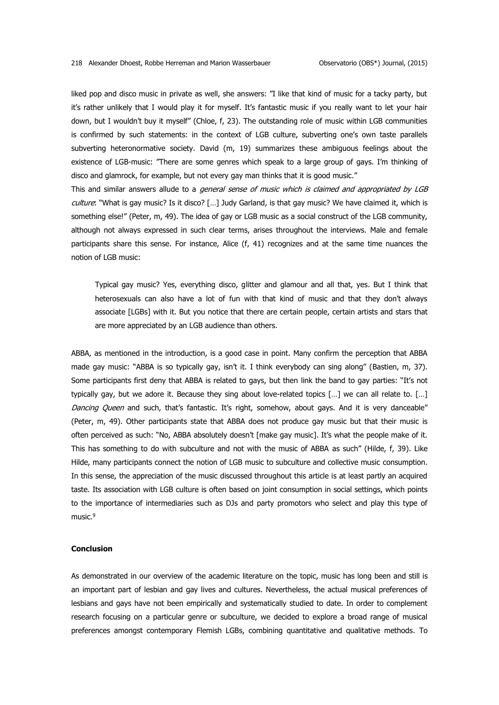liked pop and disco music in private as well, she answers: "I like that kind of music for a tacky party, but it's rather unlikely that I would play it for myself. It's fantastic music if you really want to let your hair down, but I wouldn't buy it myself" (Chloe, f, 23). The outstanding role of music within LGB communities is confirmed by such statements: in the context of LGB culture, subverting one's own taste parallels subverting heteronormative society. David (m, 19) summarizes these ambiguous feelings about the existence of LGB-music: "There are some genres which speak to a large group of gays. I'm thinking of disco and glamrock, for example, but not every gay man thinks that it is good music."

This and similar answers allude to a *general sense of music which is claimed and appropriated by LGB* culture: "What is gay music? Is it disco? [...] Judy Garland, is that gay music? We have claimed it, which is something else!" (Peter, m, 49). The idea of gay or LGB music as a social construct of the LGB community, although not always expressed in such clear terms, arises throughout the interviews. Male and female participants share this sense. For instance, Alice (f, 41) recognizes and at the same time nuances the notion of LGB music:

Typical gay music? Yes, everything disco, glitter and glamour and all that, yes. But I think that heterosexuals can also have a lot of fun with that kind of music and that they don't always associate [LGBs] with it. But you notice that there are certain people, certain artists and stars that are more appreciated by an LGB audience than others.

ABBA, as mentioned in the introduction, is a good case in point. Many confirm the perception that ABBA made gay music: "ABBA is so typically gay, isn't it. I think everybody can sing along" (Bastien, m, 37). Some participants first deny that ABBA is related to gays, but then link the band to gay parties: "It's not typically gay, but we adore it. Because they sing about love-related topics […] we can all relate to. […] Dancing Queen and such, that's fantastic. It's right, somehow, about gays. And it is very danceable" (Peter, m, 49). Other participants state that ABBA does not produce gay music but that their music is often perceived as such: "No, ABBA absolutely doesn't [make gay music]. It's what the people make of it. This has something to do with subculture and not with the music of ABBA as such" (Hilde, f, 39). Like Hilde, many participants connect the notion of LGB music to subculture and collective music consumption. In this sense, the appreciation of the music discussed throughout this article is at least partly an acquired taste. Its association with LGB culture is often based on joint consumption in social settings, which points to the importance of intermediaries such as DJs and party promotors who select and play this type of music.<sup>9</sup>

### **Conclusion**

As demonstrated in our overview of the academic literature on the topic, music has long been and still is an important part of lesbian and gay lives and cultures. Nevertheless, the actual musical preferences of lesbians and gays have not been empirically and systematically studied to date. In order to complement research focusing on a particular genre or subculture, we decided to explore a broad range of musical preferences amongst contemporary Flemish LGBs, combining quantitative and qualitative methods. To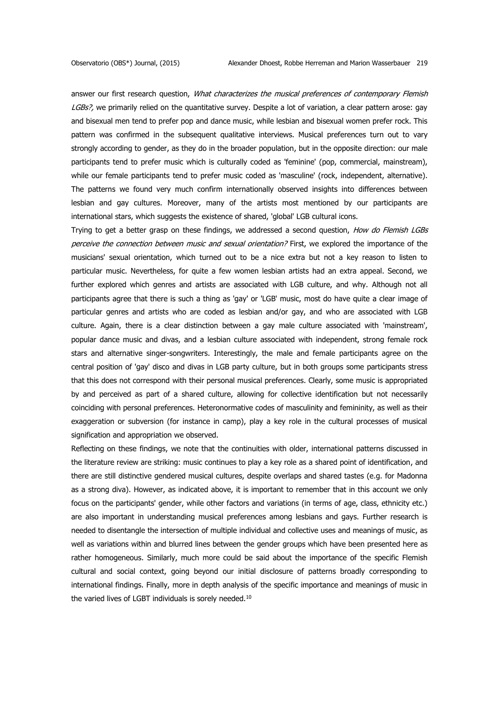answer our first research question, What characterizes the musical preferences of contemporary Flemish LGBs?, we primarily relied on the quantitative survey. Despite a lot of variation, a clear pattern arose: qay and bisexual men tend to prefer pop and dance music, while lesbian and bisexual women prefer rock. This pattern was confirmed in the subsequent qualitative interviews. Musical preferences turn out to vary strongly according to gender, as they do in the broader population, but in the opposite direction: our male participants tend to prefer music which is culturally coded as 'feminine' (pop, commercial, mainstream), while our female participants tend to prefer music coded as 'masculine' (rock, independent, alternative). The patterns we found very much confirm internationally observed insights into differences between lesbian and gay cultures. Moreover, many of the artists most mentioned by our participants are international stars, which suggests the existence of shared, 'global' LGB cultural icons.

Trying to get a better grasp on these findings, we addressed a second question, How do Flemish LGBs perceive the connection between music and sexual orientation? First, we explored the importance of the musicians' sexual orientation, which turned out to be a nice extra but not a key reason to listen to particular music. Nevertheless, for quite a few women lesbian artists had an extra appeal. Second, we further explored which genres and artists are associated with LGB culture, and why. Although not all participants agree that there is such a thing as 'gay' or 'LGB' music, most do have quite a clear image of particular genres and artists who are coded as lesbian and/or gay, and who are associated with LGB culture. Again, there is a clear distinction between a gay male culture associated with 'mainstream', popular dance music and divas, and a lesbian culture associated with independent, strong female rock stars and alternative singer-songwriters. Interestingly, the male and female participants agree on the central position of 'gay' disco and divas in LGB party culture, but in both groups some participants stress that this does not correspond with their personal musical preferences. Clearly, some music is appropriated by and perceived as part of a shared culture, allowing for collective identification but not necessarily coinciding with personal preferences. Heteronormative codes of masculinity and femininity, as well as their exaggeration or subversion (for instance in camp), play a key role in the cultural processes of musical signification and appropriation we observed.

Reflecting on these findings, we note that the continuities with older, international patterns discussed in the literature review are striking: music continues to play a key role as a shared point of identification, and there are still distinctive gendered musical cultures, despite overlaps and shared tastes (e.g. for Madonna as a strong diva). However, as indicated above, it is important to remember that in this account we only focus on the participants' gender, while other factors and variations (in terms of age, class, ethnicity etc.) are also important in understanding musical preferences among lesbians and gays. Further research is needed to disentangle the intersection of multiple individual and collective uses and meanings of music, as well as variations within and blurred lines between the gender groups which have been presented here as rather homogeneous. Similarly, much more could be said about the importance of the specific Flemish cultural and social context, going beyond our initial disclosure of patterns broadly corresponding to international findings. Finally, more in depth analysis of the specific importance and meanings of music in the varied lives of LGBT individuals is sorely needed.<sup>10</sup>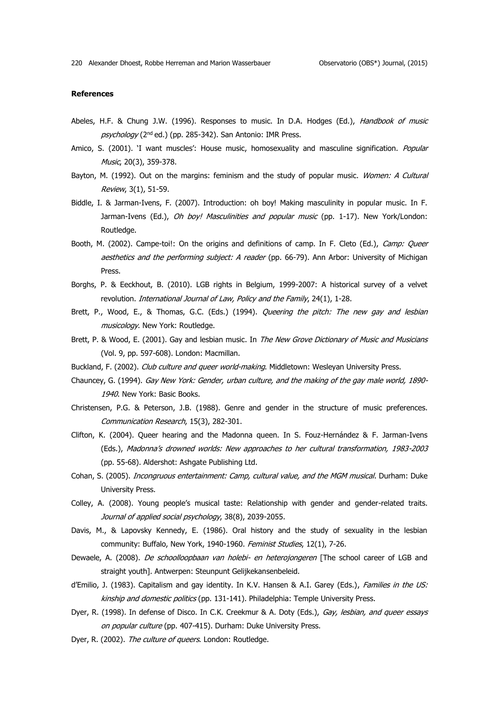### **References**

- Abeles, H.F. & Chung J.W. (1996). Responses to music. In D.A. Hodges (Ed.), Handbook of music psychology (2<sup>nd</sup> ed.) (pp. 285-342). San Antonio: IMR Press.
- Amico, S. (2001). 'I want muscles': House music, homosexuality and masculine signification. Popular Music, 20(3), 359-378.
- Bayton, M. (1992). Out on the margins: feminism and the study of popular music. Women: A Cultural Review, 3(1), 51-59.
- Biddle, I. & Jarman-Ivens, F. (2007). Introduction: oh boy! Making masculinity in popular music. In F. Jarman-Ivens (Ed.), *Oh boy! Masculinities and popular music* (pp. 1-17). New York/London: Routledge.
- Booth, M. (2002). Campe-toi!: On the origins and definitions of camp. In F. Cleto (Ed.), Camp: Queer aesthetics and the performing subject: A reader (pp. 66-79). Ann Arbor: University of Michigan Press.
- Borghs, P. & Eeckhout, B. (2010). LGB rights in Belgium, 1999-2007: A historical survey of a velvet revolution. International Journal of Law, Policy and the Family, 24(1), 1-28.
- Brett, P., Wood, E., & Thomas, G.C. (Eds.) (1994). Queering the pitch: The new gay and lesbian musicology. New York: Routledge.
- Brett, P. & Wood, E. (2001). Gay and lesbian music. In The New Grove Dictionary of Music and Musicians (Vol. 9, pp. 597-608). London: Macmillan.
- Buckland, F. (2002). Club culture and queer world-making. Middletown: Wesleyan University Press.
- Chauncey, G. (1994). Gay New York: Gender, urban culture, and the making of the gay male world, 1890- 1940. New York: Basic Books.
- Christensen, P.G. & Peterson, J.B. (1988). Genre and gender in the structure of music preferences. Communication Research, 15(3), 282-301.
- Clifton, K. (2004). Queer hearing and the Madonna queen. In S. Fouz-Hernández & F. Jarman-Ivens (Eds.), Madonna's drowned worlds: New approaches to her cultural transformation, 1983-2003 (pp. 55-68). Aldershot: Ashgate Publishing Ltd.
- Cohan, S. (2005). *Incongruous entertainment: Camp, cultural value, and the MGM musical*. Durham: Duke University Press.
- Colley, A. (2008). Young people's musical taste: Relationship with gender and gender-related traits. Journal of applied social psychology, 38(8), 2039-2055.
- Davis, M., & Lapovsky Kennedy, E. (1986). Oral history and the study of sexuality in the lesbian community: Buffalo, New York, 1940-1960. Feminist Studies, 12(1), 7-26.
- Dewaele, A. (2008). De schoolloopbaan van holebi- en heterojongeren [The school career of LGB and straight youth]. Antwerpen: Steunpunt Gelijkekansenbeleid.
- d'Emilio, J. (1983). Capitalism and gay identity. In K.V. Hansen & A.I. Garey (Eds.), Families in the US: kinship and domestic politics (pp. 131-141). Philadelphia: Temple University Press.
- Dyer, R. (1998). In defense of Disco. In C.K. Creekmur & A. Doty (Eds.), Gay, lesbian, and queer essays on popular culture (pp. 407-415). Durham: Duke University Press.
- Dyer, R. (2002). The culture of queers. London: Routledge.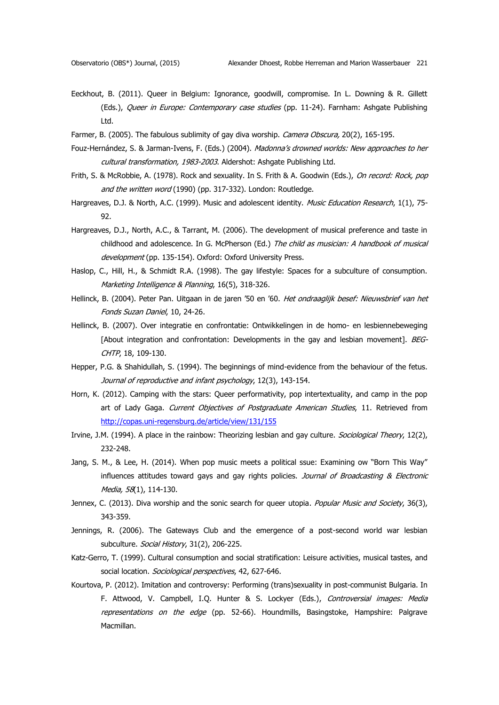- Eeckhout, B. (2011). Queer in Belgium: Ignorance, goodwill, compromise. In L. Downing & R. Gillett (Eds.), Queer in Europe: Contemporary case studies (pp. 11-24). Farnham: Ashqate Publishing Ltd.
- Farmer, B. (2005). The fabulous sublimity of gay diva worship. Camera Obscura, 20(2), 165-195.
- Fouz-Hernández, S. & Jarman-Ivens, F. (Eds.) (2004). Madonna's drowned worlds: New approaches to her cultural transformation, 1983-2003. Aldershot: Ashgate Publishing Ltd.
- Frith, S. & McRobbie, A. (1978). Rock and sexuality. In S. Frith & A. Goodwin (Eds.), On record: Rock, pop and the written word (1990) (pp. 317-332). London: Routledge.
- Hargreaves, D.J. & North, A.C. (1999). Music and adolescent identity. Music Education Research, 1(1), 75-92.
- Hargreaves, D.J., North, A.C., & Tarrant, M. (2006). The development of musical preference and taste in childhood and adolescence. In G. McPherson (Ed.) The child as musician: A handbook of musical development (pp. 135-154). Oxford: Oxford University Press.
- Haslop, C., Hill, H., & Schmidt R.A. (1998). The gay lifestyle: Spaces for a subculture of consumption. Marketing Intelligence & Planning, 16(5), 318-326.
- Hellinck, B. (2004). Peter Pan. Uitgaan in de jaren '50 en '60. Het ondraaglijk besef: Nieuwsbrief van het Fonds Suzan Daniel, 10, 24-26.
- Hellinck, B. (2007). Over integratie en confrontatie: Ontwikkelingen in de homo- en lesbiennebeweging [About integration and confrontation: Developments in the gay and lesbian movement]. BEG-CHTP, 18, 109-130.
- Hepper, P.G. & Shahidullah, S. (1994). The beginnings of mind-evidence from the behaviour of the fetus. Journal of reproductive and infant psychology, 12(3), 143-154.
- Horn, K. (2012). Camping with the stars: Queer performativity, pop intertextuality, and camp in the pop art of Lady Gaga. Current Objectives of Postgraduate American Studies, 11. Retrieved from <http://copas.uni-regensburg.de/article/view/131/155>
- Irvine, J.M. (1994). A place in the rainbow: Theorizing lesbian and gay culture. Sociological Theory, 12(2), 232-248.
- Jang, S. M., & Lee, H. (2014). When pop music meets a political ssue: Examining ow "Born This Way" influences attitudes toward gays and gay rights policies. Journal of Broadcasting & Electronic Media, 58(1), 114-130.
- Jennex, C. (2013). Diva worship and the sonic search for queer utopia. Popular Music and Society, 36(3), 343-359.
- Jennings, R. (2006). The Gateways Club and the emergence of a post-second world war lesbian subculture. Social History, 31(2), 206-225.
- Katz-Gerro, T. (1999). Cultural consumption and social stratification: Leisure activities, musical tastes, and social location. Sociological perspectives, 42, 627-646.
- Kourtova, P. (2012). Imitation and controversy: Performing (trans)sexuality in post-communist Bulgaria. In F. Attwood, V. Campbell, I.Q. Hunter & S. Lockyer (Eds.), Controversial images: Media representations on the edge (pp. 52-66). Houndmills, Basingstoke, Hampshire: Palgrave Macmillan.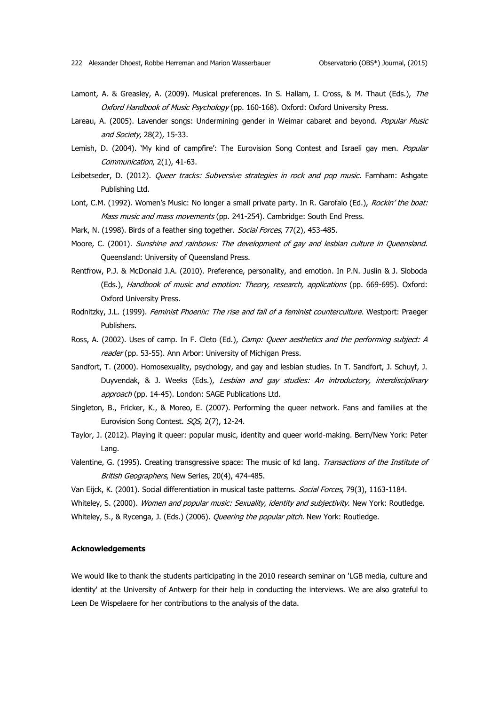- Lamont, A. & Greasley, A. (2009). Musical preferences. In S. Hallam, I. Cross, & M. Thaut (Eds.), The Oxford Handbook of Music Psychology (pp. 160-168). Oxford: Oxford University Press.
- Lareau, A. (2005). Lavender songs: Undermining gender in Weimar cabaret and beyond. Popular Music and Society, 28(2), 15-33.
- Lemish, D. (2004). 'My kind of campfire': The Eurovision Song Contest and Israeli gay men. Popular Communication, 2(1), 41-63.
- Leibetseder, D. (2012). Queer tracks: Subversive strategies in rock and pop music. Farnham: Ashgate Publishing Ltd.
- Lont, C.M. (1992). Women's Music: No longer a small private party. In R. Garofalo (Ed.), Rockin' the boat: Mass music and mass movements (pp. 241-254). Cambridge: South End Press.
- Mark, N. (1998). Birds of a feather sing together. Social Forces, 77(2), 453-485.
- Moore, C. (2001). Sunshine and rainbows: The development of gay and lesbian culture in Queensland. Queensland: University of Queensland Press.
- Rentfrow, P.J. & McDonald J.A. (2010). Preference, personality, and emotion. In P.N. Juslin & J. Sloboda (Eds.), Handbook of music and emotion: Theory, research, applications (pp. 669-695). Oxford: Oxford University Press.
- Rodnitzky, J.L. (1999). Feminist Phoenix: The rise and fall of a feminist counterculture. Westport: Praeger Publishers.
- Ross, A. (2002). Uses of camp. In F. Cleto (Ed.), Camp: Queer aesthetics and the performing subject: A reader (pp. 53-55). Ann Arbor: University of Michigan Press.
- Sandfort, T. (2000). Homosexuality, psychology, and gay and lesbian studies. In T. Sandfort, J. Schuyf, J. Duyvendak, & J. Weeks (Eds.), Lesbian and gay studies: An introductory, interdisciplinary approach (pp. 14-45). London: SAGE Publications Ltd.
- Singleton, B., Fricker, K., & Moreo, E. (2007). Performing the queer network. Fans and families at the Eurovision Song Contest. SQS, 2(7), 12-24.
- Taylor, J. (2012). Playing it queer: popular music, identity and queer world-making. Bern/New York: Peter Lang.
- Valentine, G. (1995). Creating transgressive space: The music of kd lang. Transactions of the Institute of British Geographers, New Series, 20(4), 474-485.
- Van Eijck, K. (2001). Social differentiation in musical taste patterns. Social Forces, 79(3), 1163-1184.

Whiteley, S. (2000). Women and popular music: Sexuality, identity and subjectivity. New York: Routledge.

Whiteley, S., & Rycenga, J. (Eds.) (2006). Queering the popular pitch. New York: Routledge.

### **Acknowledgements**

We would like to thank the students participating in the 2010 research seminar on 'LGB media, culture and identity' at the University of Antwerp for their help in conducting the interviews. We are also grateful to Leen De Wispelaere for her contributions to the analysis of the data.